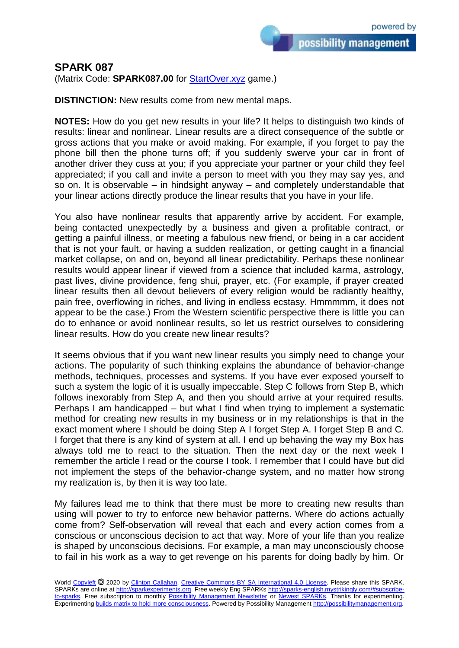## **SPARK 087**

(Matrix Code: **SPARK087.00** for **StartOver.xyz** game.)

**DISTINCTION:** New results come from new mental maps.

**NOTES:** How do you get new results in your life? It helps to distinguish two kinds of results: linear and nonlinear. Linear results are a direct consequence of the subtle or gross actions that you make or avoid making. For example, if you forget to pay the phone bill then the phone turns off; if you suddenly swerve your car in front of another driver they cuss at you; if you appreciate your partner or your child they feel appreciated; if you call and invite a person to meet with you they may say yes, and so on. It is observable – in hindsight anyway – and completely understandable that your linear actions directly produce the linear results that you have in your life.

You also have nonlinear results that apparently arrive by accident. For example, being contacted unexpectedly by a business and given a profitable contract, or getting a painful illness, or meeting a fabulous new friend, or being in a car accident that is not your fault, or having a sudden realization, or getting caught in a financial market collapse, on and on, beyond all linear predictability. Perhaps these nonlinear results would appear linear if viewed from a science that included karma, astrology, past lives, divine providence, feng shui, prayer, etc. (For example, if prayer created linear results then all devout believers of every religion would be radiantly healthy, pain free, overflowing in riches, and living in endless ecstasy. Hmmmmm, it does not appear to be the case.) From the Western scientific perspective there is little you can do to enhance or avoid nonlinear results, so let us restrict ourselves to considering linear results. How do you create new linear results?

It seems obvious that if you want new linear results you simply need to change your actions. The popularity of such thinking explains the abundance of behavior-change methods, techniques, processes and systems. If you have ever exposed yourself to such a system the logic of it is usually impeccable. Step C follows from Step B, which follows inexorably from Step A, and then you should arrive at your required results. Perhaps I am handicapped – but what I find when trying to implement a systematic method for creating new results in my business or in my relationships is that in the exact moment where I should be doing Step A I forget Step A. I forget Step B and C. I forget that there is any kind of system at all. I end up behaving the way my Box has always told me to react to the situation. Then the next day or the next week I remember the article I read or the course I took. I remember that I could have but did not implement the steps of the behavior-change system, and no matter how strong my realization is, by then it is way too late.

My failures lead me to think that there must be more to creating new results than using will power to try to enforce new behavior patterns. Where do actions actually come from? Self-observation will reveal that each and every action comes from a conscious or unconscious decision to act that way. More of your life than you realize is shaped by unconscious decisions. For example, a man may unconsciously choose to fail in his work as a way to get revenge on his parents for doing badly by him. Or

World [Copyleft](https://en.wikipedia.org/wiki/Copyleft) @ 2020 by [Clinton Callahan.](http://clintoncallahan.mystrikingly.com/) [Creative Commons BY SA International 4.0 License.](https://creativecommons.org/licenses/by-sa/4.0/) Please share this SPARK. SPARKs are online at [http://sparkexperiments.org.](http://sparks-english.mystrikingly.com/) Free weekly Eng SPARKs [http://sparks-english.mystrikingly.com/#subscribe](http://sparks-english.mystrikingly.com/#subscribe-to-sparks)[to-sparks.](http://sparks-english.mystrikingly.com/#subscribe-to-sparks) Free subscription to monthly [Possibility Management Newsletter](https://possibilitymanagement.org/news/) or [Newest SPARKs.](https://www.clintoncallahan.org/newsletter-1) Thanks for experimenting. Experimentin[g builds matrix to hold more consciousness.](http://spaceport.mystrikingly.com/) Powered by Possibility Managemen[t http://possibilitymanagement.org.](http://possibilitymanagement.org/)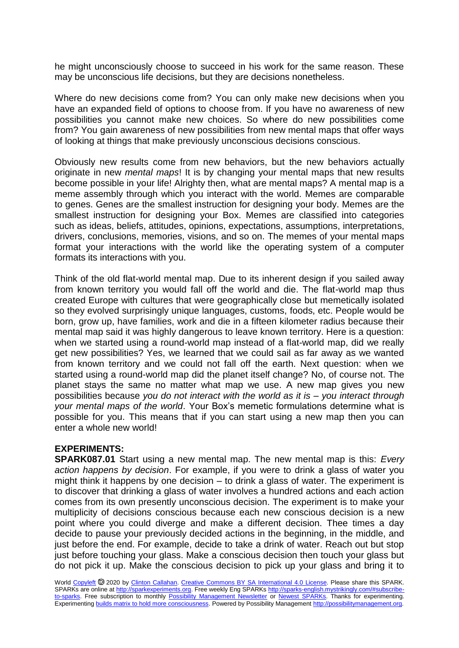he might unconsciously choose to succeed in his work for the same reason. These may be unconscious life decisions, but they are decisions nonetheless.

Where do new decisions come from? You can only make new decisions when you have an expanded field of options to choose from. If you have no awareness of new possibilities you cannot make new choices. So where do new possibilities come from? You gain awareness of new possibilities from new mental maps that offer ways of looking at things that make previously unconscious decisions conscious.

Obviously new results come from new behaviors, but the new behaviors actually originate in new *mental maps*! It is by changing your mental maps that new results become possible in your life! Alrighty then, what are mental maps? A mental map is a meme assembly through which you interact with the world. Memes are comparable to genes. Genes are the smallest instruction for designing your body. Memes are the smallest instruction for designing your Box. Memes are classified into categories such as ideas, beliefs, attitudes, opinions, expectations, assumptions, interpretations, drivers, conclusions, memories, visions, and so on. The memes of your mental maps format your interactions with the world like the operating system of a computer formats its interactions with you.

Think of the old flat-world mental map. Due to its inherent design if you sailed away from known territory you would fall off the world and die. The flat-world map thus created Europe with cultures that were geographically close but memetically isolated so they evolved surprisingly unique languages, customs, foods, etc. People would be born, grow up, have families, work and die in a fifteen kilometer radius because their mental map said it was highly dangerous to leave known territory. Here is a question: when we started using a round-world map instead of a flat-world map, did we really get new possibilities? Yes, we learned that we could sail as far away as we wanted from known territory and we could not fall off the earth. Next question: when we started using a round-world map did the planet itself change? No, of course not. The planet stays the same no matter what map we use. A new map gives you new possibilities because *you do not interact with the world as it is – you interact through your mental maps of the world*. Your Box's memetic formulations determine what is possible for you. This means that if you can start using a new map then you can enter a whole new world!

## **EXPERIMENTS:**

**SPARK087.01** Start using a new mental map. The new mental map is this: *Every action happens by decision*. For example, if you were to drink a glass of water you might think it happens by one decision – to drink a glass of water. The experiment is to discover that drinking a glass of water involves a hundred actions and each action comes from its own presently unconscious decision. The experiment is to make your multiplicity of decisions conscious because each new conscious decision is a new point where you could diverge and make a different decision. Thee times a day decide to pause your previously decided actions in the beginning, in the middle, and just before the end. For example, decide to take a drink of water. Reach out but stop just before touching your glass. Make a conscious decision then touch your glass but do not pick it up. Make the conscious decision to pick up your glass and bring it to

World [Copyleft](https://en.wikipedia.org/wiki/Copyleft) <sup>®</sup> 2020 by [Clinton Callahan.](http://clintoncallahan.mystrikingly.com/) [Creative Commons BY SA International 4.0 License.](https://creativecommons.org/licenses/by-sa/4.0/) Please share this SPARK. SPARKs are online at [http://sparkexperiments.org.](http://sparks-english.mystrikingly.com/) Free weekly Eng SPARKs [http://sparks-english.mystrikingly.com/#subscribe](http://sparks-english.mystrikingly.com/#subscribe-to-sparks)[to-sparks.](http://sparks-english.mystrikingly.com/#subscribe-to-sparks) Free subscription to monthly [Possibility Management Newsletter](https://possibilitymanagement.org/news/) or [Newest SPARKs.](https://www.clintoncallahan.org/newsletter-1) Thanks for experimenting. Experimentin[g builds matrix to hold more consciousness.](http://spaceport.mystrikingly.com/) Powered by Possibility Managemen[t http://possibilitymanagement.org.](http://possibilitymanagement.org/)